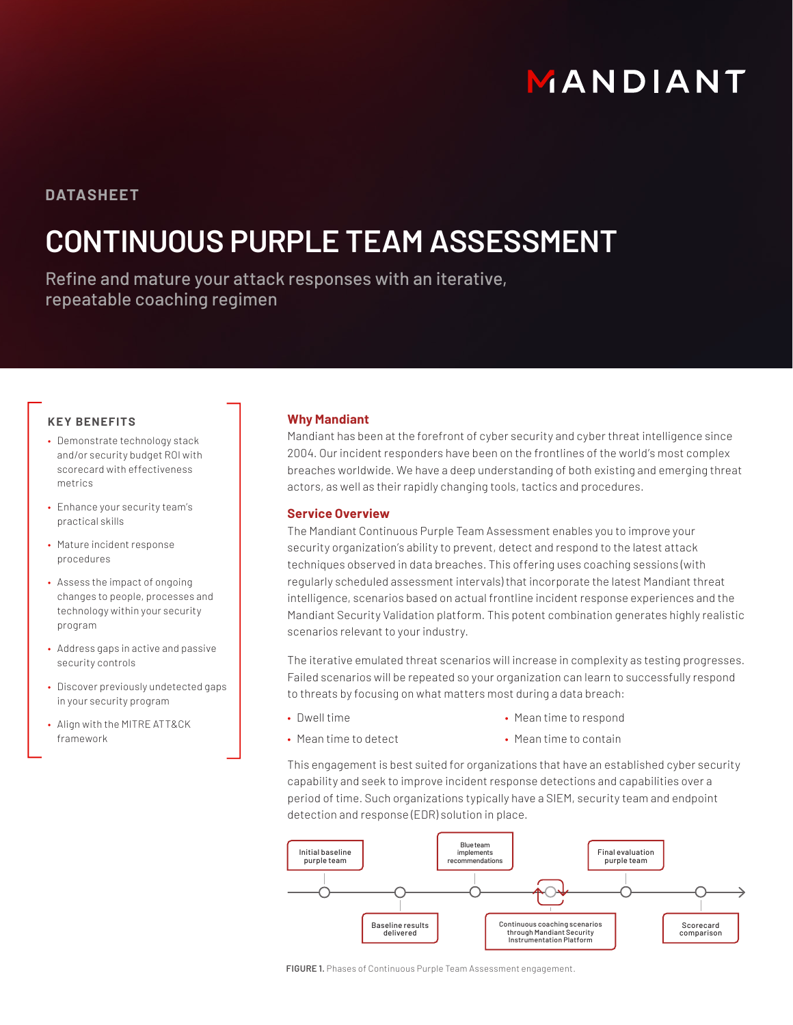# MANDIANT

### **DATASHEET**

## **CONTINUOUS PURPLE TEAM ASSESSMENT**

Refine and mature your attack responses with an iterative, repeatable coaching regimen

#### **KEY BENEFITS**

- Demonstrate technology stack and/or security budget ROI with scorecard with effectiveness metrics
- Enhance your security team's practical skills
- Mature incident response procedures
- Assess the impact of ongoing changes to people, processes and technology within your security program
- Address gaps in active and passive security controls
- Discover previously undetected gaps in your security program
- Align with the MITRE ATT&CK framework

#### **Why Mandiant**

Mandiant has been at the forefront of cyber security and cyber threat intelligence since 2004. Our incident responders have been on the frontlines of the world's most complex breaches worldwide. We have a deep understanding of both existing and emerging threat actors, as well as their rapidly changing tools, tactics and procedures.

#### **Service Overview**

The Mandiant Continuous Purple Team Assessment enables you to improve your security organization's ability to prevent, detect and respond to the latest attack techniques observed in data breaches. This offering uses coaching sessions (with regularly scheduled assessment intervals) that incorporate the latest Mandiant threat intelligence, scenarios based on actual frontline incident response experiences and the Mandiant Security Validation platform. This potent combination generates highly realistic scenarios relevant to your industry.

The iterative emulated threat scenarios will increase in complexity as testing progresses. Failed scenarios will be repeated so your organization can learn to successfully respond to threats by focusing on what matters most during a data breach:

• Dwell time

• Mean time to respond

- Mean time to detect
- Mean time to contain

This engagement is best suited for organizations that have an established cyber security capability and seek to improve incident response detections and capabilities over a period of time. Such organizations typically have a SIEM, security team and endpoint detection and response (EDR) solution in place.